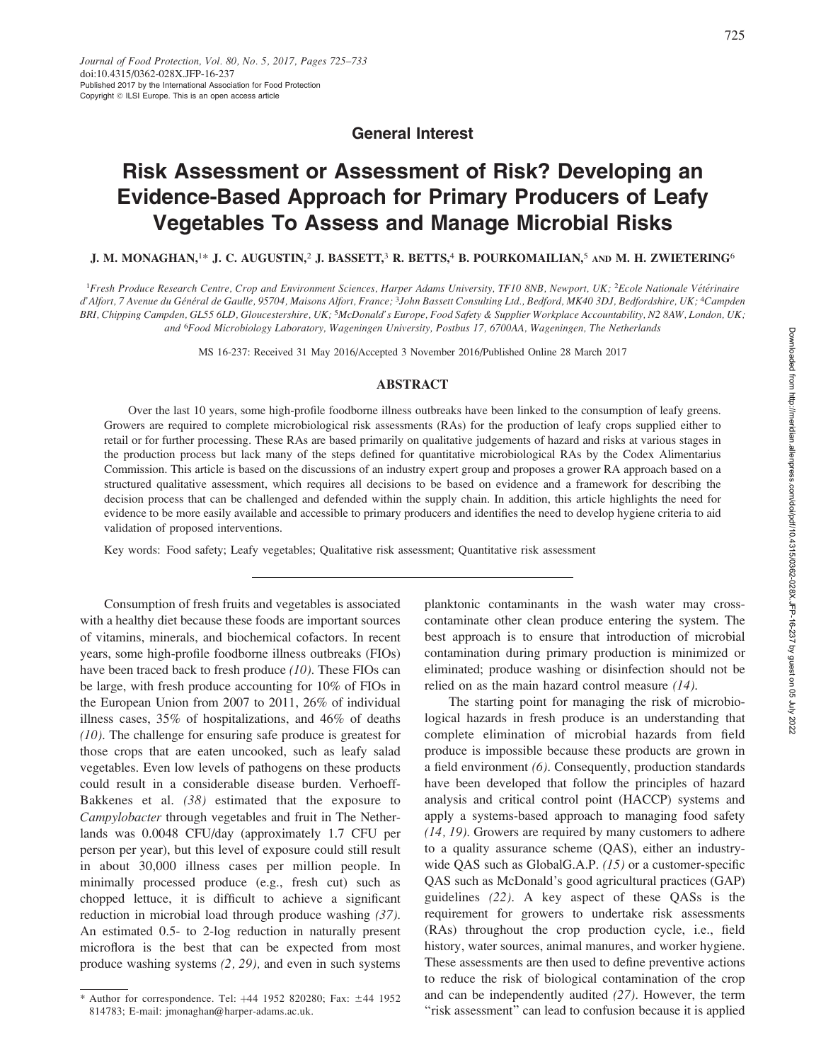General Interest

# Risk Assessment or Assessment of Risk? Developing an Evidence-Based Approach for Primary Producers of Leafy Vegetables To Assess and Manage Microbial Risks

# J. M. MONAGHAN,<sup>1\*</sup> J. C. AUGUSTIN,<sup>2</sup> J. BASSETT,<sup>3</sup> R. BETTS,<sup>4</sup> B. POURKOMAILIAN,<sup>5</sup> and M. H. ZWIETERING<sup>6</sup>

<sup>1</sup>Fresh Produce Research Centre, Crop and Environment Sciences, Harper Adams University, TF10 8NB, Newport, UK; <sup>2</sup>Ecole Nationale Vétérinaire d'Alfort, 7 Avenue du Général de Gaulle, 95704, Maisons Alfort, France; <sup>3</sup>John Bassett Consulting Ltd., Bedford, MK40 3DJ, Bedfordshire, UK; <sup>4</sup>Campden BRI, Chipping Campden, GL55 6LD, Gloucestershire, UK; <sup>5</sup>McDonald's Europe, Food Safety & Supplier Workplace Accountability, N2 8AW, London, UK; and <sup>6</sup>Food Microbiology Laboratory, Wageningen University, Postbus 17, 6700AA, Wageningen, The Netherlands

MS 16-237: Received 31 May 2016/Accepted 3 November 2016/Published Online 28 March 2017

### ABSTRACT

Over the last 10 years, some high-profile foodborne illness outbreaks have been linked to the consumption of leafy greens. Growers are required to complete microbiological risk assessments (RAs) for the production of leafy crops supplied either to retail or for further processing. These RAs are based primarily on qualitative judgements of hazard and risks at various stages in the production process but lack many of the steps defined for quantitative microbiological RAs by the Codex Alimentarius Commission. This article is based on the discussions of an industry expert group and proposes a grower RA approach based on a structured qualitative assessment, which requires all decisions to be based on evidence and a framework for describing the decision process that can be challenged and defended within the supply chain. In addition, this article highlights the need for evidence to be more easily available and accessible to primary producers and identifies the need to develop hygiene criteria to aid validation of proposed interventions.

Key words: Food safety; Leafy vegetables; Qualitative risk assessment; Quantitative risk assessment

Consumption of fresh fruits and vegetables is associated with a healthy diet because these foods are important sources of vitamins, minerals, and biochemical cofactors. In recent years, some high-profile foodborne illness outbreaks (FIOs) have been traced back to fresh produce (10). These FIOs can be large, with fresh produce accounting for 10% of FIOs in the European Union from 2007 to 2011, 26% of individual illness cases, 35% of hospitalizations, and 46% of deaths (10). The challenge for ensuring safe produce is greatest for those crops that are eaten uncooked, such as leafy salad vegetables. Even low levels of pathogens on these products could result in a considerable disease burden. Verhoeff-Bakkenes et al. (38) estimated that the exposure to Campylobacter through vegetables and fruit in The Netherlands was 0.0048 CFU/day (approximately 1.7 CFU per person per year), but this level of exposure could still result in about 30,000 illness cases per million people. In minimally processed produce (e.g., fresh cut) such as chopped lettuce, it is difficult to achieve a significant reduction in microbial load through produce washing (37). An estimated 0.5- to 2-log reduction in naturally present microflora is the best that can be expected from most produce washing systems (2, 29), and even in such systems planktonic contaminants in the wash water may crosscontaminate other clean produce entering the system. The best approach is to ensure that introduction of microbial contamination during primary production is minimized or eliminated; produce washing or disinfection should not be relied on as the main hazard control measure (14).

The starting point for managing the risk of microbiological hazards in fresh produce is an understanding that complete elimination of microbial hazards from field produce is impossible because these products are grown in a field environment (6). Consequently, production standards have been developed that follow the principles of hazard analysis and critical control point (HACCP) systems and apply a systems-based approach to managing food safety (14, 19). Growers are required by many customers to adhere to a quality assurance scheme (QAS), either an industrywide QAS such as GlobalG.A.P. (15) or a customer-specific QAS such as McDonald's good agricultural practices (GAP) guidelines (22). A key aspect of these QASs is the requirement for growers to undertake risk assessments (RAs) throughout the crop production cycle, i.e., field history, water sources, animal manures, and worker hygiene. These assessments are then used to define preventive actions to reduce the risk of biological contamination of the crop and can be independently audited (27). However, the term "risk assessment" can lead to confusion because it is applied

<sup>\*</sup> Author for correspondence. Tel:  $+44$  1952 820280; Fax:  $\pm 44$  1952 814783; E-mail: jmonaghan@harper-adams.ac.uk.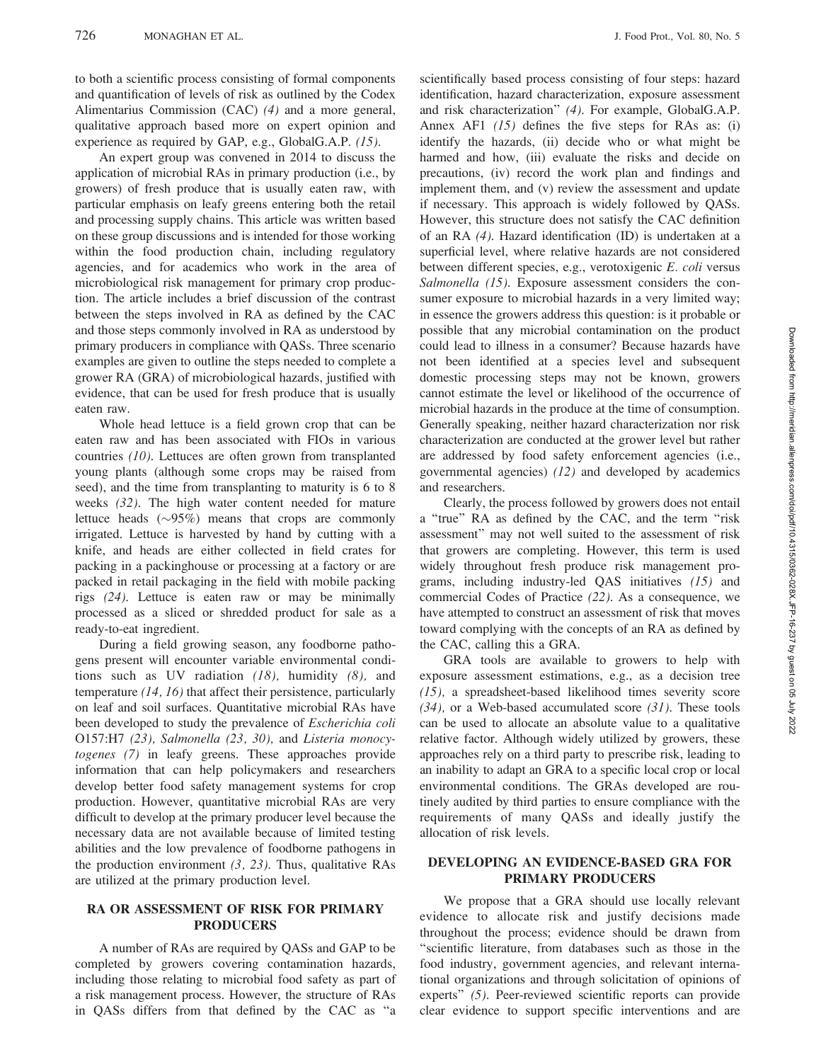to both a scientific process consisting of formal components and quantification of levels of risk as outlined by the Codex Alimentarius Commission (CAC) (4) and a more general, qualitative approach based more on expert opinion and experience as required by GAP, e.g., GlobalG.A.P. (15).

An expert group was convened in 2014 to discuss the application of microbial RAs in primary production (i.e., by growers) of fresh produce that is usually eaten raw, with particular emphasis on leafy greens entering both the retail and processing supply chains. This article was written based on these group discussions and is intended for those working within the food production chain, including regulatory agencies, and for academics who work in the area of microbiological risk management for primary crop production. The article includes a brief discussion of the contrast between the steps involved in RA as defined by the CAC and those steps commonly involved in RA as understood by primary producers in compliance with QASs. Three scenario examples are given to outline the steps needed to complete a grower RA (GRA) of microbiological hazards, justified with evidence, that can be used for fresh produce that is usually eaten raw.

Whole head lettuce is a field grown crop that can be eaten raw and has been associated with FIOs in various countries (10). Lettuces are often grown from transplanted young plants (although some crops may be raised from seed), and the time from transplanting to maturity is 6 to 8 weeks (32). The high water content needed for mature lettuce heads  $(\sim)95\%$  means that crops are commonly irrigated. Lettuce is harvested by hand by cutting with a knife, and heads are either collected in field crates for packing in a packinghouse or processing at a factory or are packed in retail packaging in the field with mobile packing rigs (24). Lettuce is eaten raw or may be minimally processed as a sliced or shredded product for sale as a ready-to-eat ingredient.

During a field growing season, any foodborne pathogens present will encounter variable environmental conditions such as UV radiation  $(18)$ , humidity  $(8)$ , and temperature (14, 16) that affect their persistence, particularly on leaf and soil surfaces. Quantitative microbial RAs have been developed to study the prevalence of Escherichia coli O157:H7 (23), Salmonella (23, 30), and Listeria monocytogenes (7) in leafy greens. These approaches provide information that can help policymakers and researchers develop better food safety management systems for crop production. However, quantitative microbial RAs are very difficult to develop at the primary producer level because the necessary data are not available because of limited testing abilities and the low prevalence of foodborne pathogens in the production environment  $(3, 23)$ . Thus, qualitative RAs are utilized at the primary production level.

# RA OR ASSESSMENT OF RISK FOR PRIMARY PRODUCERS

A number of RAs are required by QASs and GAP to be completed by growers covering contamination hazards, including those relating to microbial food safety as part of a risk management process. However, the structure of RAs in QASs differs from that defined by the CAC as ''a scientifically based process consisting of four steps: hazard identification, hazard characterization, exposure assessment and risk characterization'' (4). For example, GlobalG.A.P. Annex AF1  $(15)$  defines the five steps for RAs as: (i) identify the hazards, (ii) decide who or what might be harmed and how, (iii) evaluate the risks and decide on precautions, (iv) record the work plan and findings and implement them, and (v) review the assessment and update if necessary. This approach is widely followed by QASs. However, this structure does not satisfy the CAC definition of an RA (4). Hazard identification (ID) is undertaken at a superficial level, where relative hazards are not considered between different species, e.g., verotoxigenic E. coli versus Salmonella (15). Exposure assessment considers the consumer exposure to microbial hazards in a very limited way; in essence the growers address this question: is it probable or possible that any microbial contamination on the product could lead to illness in a consumer? Because hazards have not been identified at a species level and subsequent domestic processing steps may not be known, growers cannot estimate the level or likelihood of the occurrence of microbial hazards in the produce at the time of consumption. Generally speaking, neither hazard characterization nor risk characterization are conducted at the grower level but rather are addressed by food safety enforcement agencies (i.e., governmental agencies) (12) and developed by academics and researchers.

Clearly, the process followed by growers does not entail a ''true'' RA as defined by the CAC, and the term ''risk assessment'' may not well suited to the assessment of risk that growers are completing. However, this term is used widely throughout fresh produce risk management programs, including industry-led QAS initiatives (15) and commercial Codes of Practice (22). As a consequence, we have attempted to construct an assessment of risk that moves toward complying with the concepts of an RA as defined by the CAC, calling this a GRA.

GRA tools are available to growers to help with exposure assessment estimations, e.g., as a decision tree (15), a spreadsheet-based likelihood times severity score  $(34)$ , or a Web-based accumulated score  $(31)$ . These tools can be used to allocate an absolute value to a qualitative relative factor. Although widely utilized by growers, these approaches rely on a third party to prescribe risk, leading to an inability to adapt an GRA to a specific local crop or local environmental conditions. The GRAs developed are routinely audited by third parties to ensure compliance with the requirements of many QASs and ideally justify the allocation of risk levels.

# DEVELOPING AN EVIDENCE-BASED GRA FOR PRIMARY PRODUCERS

We propose that a GRA should use locally relevant evidence to allocate risk and justify decisions made throughout the process; evidence should be drawn from ''scientific literature, from databases such as those in the food industry, government agencies, and relevant international organizations and through solicitation of opinions of experts'' (5). Peer-reviewed scientific reports can provide clear evidence to support specific interventions and are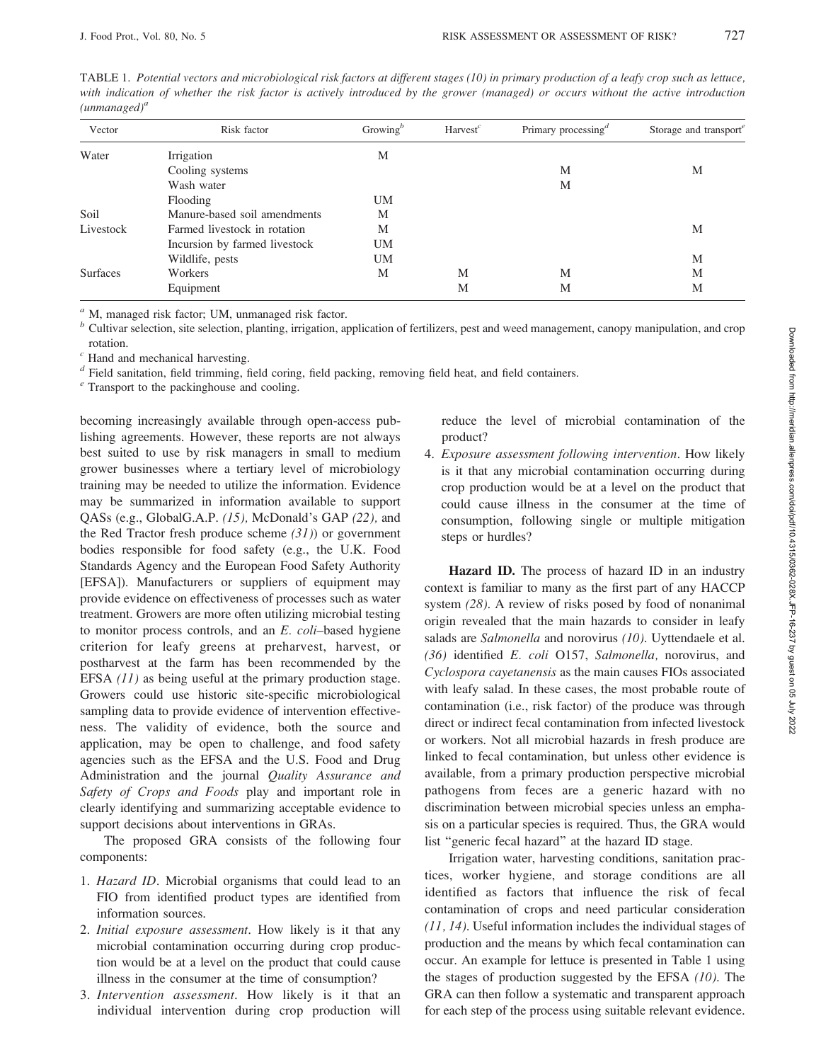| Vector          | Risk factor                   | Growing <sup>b</sup> | Harvest <sup>c</sup> | Primary processing <sup>d</sup> | Storage and transport <sup>e</sup> |
|-----------------|-------------------------------|----------------------|----------------------|---------------------------------|------------------------------------|
| Water           | Irrigation                    | М                    |                      |                                 |                                    |
|                 | Cooling systems               |                      |                      | M                               | M                                  |
|                 | Wash water                    |                      |                      | M                               |                                    |
|                 | Flooding                      | <b>UM</b>            |                      |                                 |                                    |
| Soil            | Manure-based soil amendments  | М                    |                      |                                 |                                    |
| Livestock       | Farmed livestock in rotation  | M                    |                      |                                 | M                                  |
|                 | Incursion by farmed livestock | <b>UM</b>            |                      |                                 |                                    |
|                 | Wildlife, pests               | <b>UM</b>            |                      |                                 | M                                  |
| <b>Surfaces</b> | Workers                       | М                    | M                    | M                               | M                                  |
|                 | Equipment                     |                      | M                    | M                               | M                                  |

TABLE 1. Potential vectors and microbiological risk factors at different stages (10) in primary production of a leafy crop such as lettuce, with indication of whether the risk factor is actively introduced by the grower (managed) or occurs without the active introduction  $(unmanaged)^a$ 

 $a<sup>a</sup>$  M, managed risk factor; UM, unmanaged risk factor.

 $<sup>b</sup>$  Cultivar selection, site selection, planting, irrigation, application of fertilizers, pest and weed management, canopy manipulation, and crop</sup> rotation.

 $c$  Hand and mechanical harvesting.

<sup>d</sup> Field sanitation, field trimming, field coring, field packing, removing field heat, and field containers.

 $e^{i}$  Transport to the packinghouse and cooling.

becoming increasingly available through open-access publishing agreements. However, these reports are not always best suited to use by risk managers in small to medium grower businesses where a tertiary level of microbiology training may be needed to utilize the information. Evidence may be summarized in information available to support QASs (e.g., GlobalG.A.P. (15), McDonald's GAP (22), and the Red Tractor fresh produce scheme  $(31)$  or government bodies responsible for food safety (e.g., the U.K. Food Standards Agency and the European Food Safety Authority [EFSA]). Manufacturers or suppliers of equipment may provide evidence on effectiveness of processes such as water treatment. Growers are more often utilizing microbial testing to monitor process controls, and an E. coli–based hygiene criterion for leafy greens at preharvest, harvest, or postharvest at the farm has been recommended by the EFSA (11) as being useful at the primary production stage. Growers could use historic site-specific microbiological sampling data to provide evidence of intervention effectiveness. The validity of evidence, both the source and application, may be open to challenge, and food safety agencies such as the EFSA and the U.S. Food and Drug Administration and the journal Quality Assurance and Safety of Crops and Foods play and important role in clearly identifying and summarizing acceptable evidence to support decisions about interventions in GRAs.

The proposed GRA consists of the following four components:

- 1. Hazard ID. Microbial organisms that could lead to an FIO from identified product types are identified from information sources.
- 2. Initial exposure assessment. How likely is it that any microbial contamination occurring during crop production would be at a level on the product that could cause illness in the consumer at the time of consumption?
- 3. Intervention assessment. How likely is it that an individual intervention during crop production will

reduce the level of microbial contamination of the product?

4. Exposure assessment following intervention. How likely is it that any microbial contamination occurring during crop production would be at a level on the product that could cause illness in the consumer at the time of consumption, following single or multiple mitigation steps or hurdles?

Hazard ID. The process of hazard ID in an industry context is familiar to many as the first part of any HACCP system (28). A review of risks posed by food of nonanimal origin revealed that the main hazards to consider in leafy salads are Salmonella and norovirus (10). Uyttendaele et al. (36) identified E. coli O157, Salmonella, norovirus, and Cyclospora cayetanensis as the main causes FIOs associated with leafy salad. In these cases, the most probable route of contamination (i.e., risk factor) of the produce was through direct or indirect fecal contamination from infected livestock or workers. Not all microbial hazards in fresh produce are linked to fecal contamination, but unless other evidence is available, from a primary production perspective microbial pathogens from feces are a generic hazard with no discrimination between microbial species unless an emphasis on a particular species is required. Thus, the GRA would list ''generic fecal hazard'' at the hazard ID stage.

Irrigation water, harvesting conditions, sanitation practices, worker hygiene, and storage conditions are all identified as factors that influence the risk of fecal contamination of crops and need particular consideration (11, 14). Useful information includes the individual stages of production and the means by which fecal contamination can occur. An example for lettuce is presented in Table 1 using the stages of production suggested by the EFSA  $(10)$ . The GRA can then follow a systematic and transparent approach for each step of the process using suitable relevant evidence.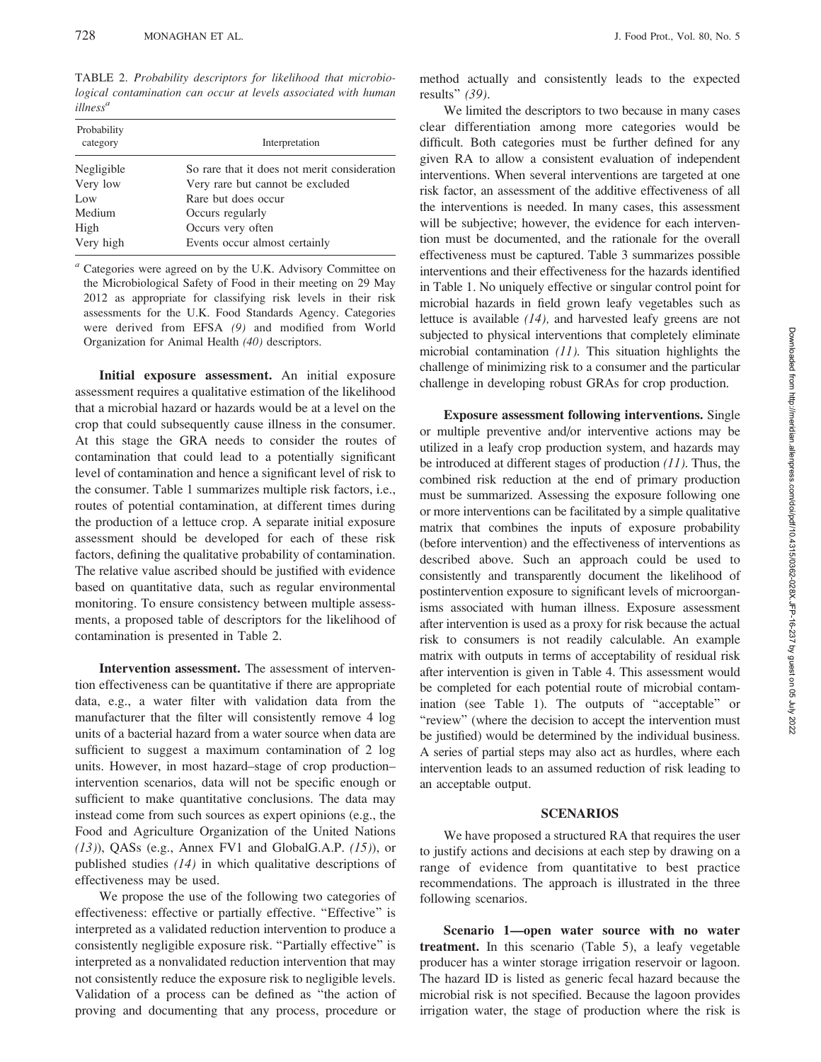TABLE 2. Probability descriptors for likelihood that microbiological contamination can occur at levels associated with human illness<sup>a</sup>

| Probability<br>category | Interpretation                               |
|-------------------------|----------------------------------------------|
| Negligible              | So rare that it does not merit consideration |
| Very low                | Very rare but cannot be excluded             |
| Low                     | Rare but does occur                          |
| Medium                  | Occurs regularly                             |
| High                    | Occurs very often                            |
| Very high               | Events occur almost certainly                |

 $a$  Categories were agreed on by the U.K. Advisory Committee on the Microbiological Safety of Food in their meeting on 29 May 2012 as appropriate for classifying risk levels in their risk assessments for the U.K. Food Standards Agency. Categories were derived from EFSA (9) and modified from World Organization for Animal Health (40) descriptors.

Initial exposure assessment. An initial exposure assessment requires a qualitative estimation of the likelihood that a microbial hazard or hazards would be at a level on the crop that could subsequently cause illness in the consumer. At this stage the GRA needs to consider the routes of contamination that could lead to a potentially significant level of contamination and hence a significant level of risk to the consumer. Table 1 summarizes multiple risk factors, i.e., routes of potential contamination, at different times during the production of a lettuce crop. A separate initial exposure assessment should be developed for each of these risk factors, defining the qualitative probability of contamination. The relative value ascribed should be justified with evidence based on quantitative data, such as regular environmental monitoring. To ensure consistency between multiple assessments, a proposed table of descriptors for the likelihood of contamination is presented in Table 2.

Intervention assessment. The assessment of intervention effectiveness can be quantitative if there are appropriate data, e.g., a water filter with validation data from the manufacturer that the filter will consistently remove 4 log units of a bacterial hazard from a water source when data are sufficient to suggest a maximum contamination of 2 log units. However, in most hazard–stage of crop production– intervention scenarios, data will not be specific enough or sufficient to make quantitative conclusions. The data may instead come from such sources as expert opinions (e.g., the Food and Agriculture Organization of the United Nations  $(13)$ ), QASs (e.g., Annex FV1 and GlobalG.A.P.  $(15)$ ), or published studies (14) in which qualitative descriptions of effectiveness may be used.

We propose the use of the following two categories of effectiveness: effective or partially effective. "Effective" is interpreted as a validated reduction intervention to produce a consistently negligible exposure risk. ''Partially effective'' is interpreted as a nonvalidated reduction intervention that may not consistently reduce the exposure risk to negligible levels. Validation of a process can be defined as ''the action of proving and documenting that any process, procedure or

method actually and consistently leads to the expected results'' (39).

We limited the descriptors to two because in many cases clear differentiation among more categories would be difficult. Both categories must be further defined for any given RA to allow a consistent evaluation of independent interventions. When several interventions are targeted at one risk factor, an assessment of the additive effectiveness of all the interventions is needed. In many cases, this assessment will be subjective; however, the evidence for each intervention must be documented, and the rationale for the overall effectiveness must be captured. Table 3 summarizes possible interventions and their effectiveness for the hazards identified in Table 1. No uniquely effective or singular control point for microbial hazards in field grown leafy vegetables such as lettuce is available (14), and harvested leafy greens are not subjected to physical interventions that completely eliminate microbial contamination  $(11)$ . This situation highlights the challenge of minimizing risk to a consumer and the particular challenge in developing robust GRAs for crop production.

Exposure assessment following interventions. Single or multiple preventive and/or interventive actions may be utilized in a leafy crop production system, and hazards may be introduced at different stages of production  $(11)$ . Thus, the combined risk reduction at the end of primary production must be summarized. Assessing the exposure following one or more interventions can be facilitated by a simple qualitative matrix that combines the inputs of exposure probability (before intervention) and the effectiveness of interventions as described above. Such an approach could be used to consistently and transparently document the likelihood of postintervention exposure to significant levels of microorganisms associated with human illness. Exposure assessment after intervention is used as a proxy for risk because the actual risk to consumers is not readily calculable. An example matrix with outputs in terms of acceptability of residual risk after intervention is given in Table 4. This assessment would be completed for each potential route of microbial contamination (see Table 1). The outputs of ''acceptable'' or "review" (where the decision to accept the intervention must be justified) would be determined by the individual business. A series of partial steps may also act as hurdles, where each intervention leads to an assumed reduction of risk leading to an acceptable output.

#### SCENARIOS

We have proposed a structured RA that requires the user to justify actions and decisions at each step by drawing on a range of evidence from quantitative to best practice recommendations. The approach is illustrated in the three following scenarios.

Scenario 1—open water source with no water treatment. In this scenario (Table 5), a leafy vegetable producer has a winter storage irrigation reservoir or lagoon. The hazard ID is listed as generic fecal hazard because the microbial risk is not specified. Because the lagoon provides irrigation water, the stage of production where the risk is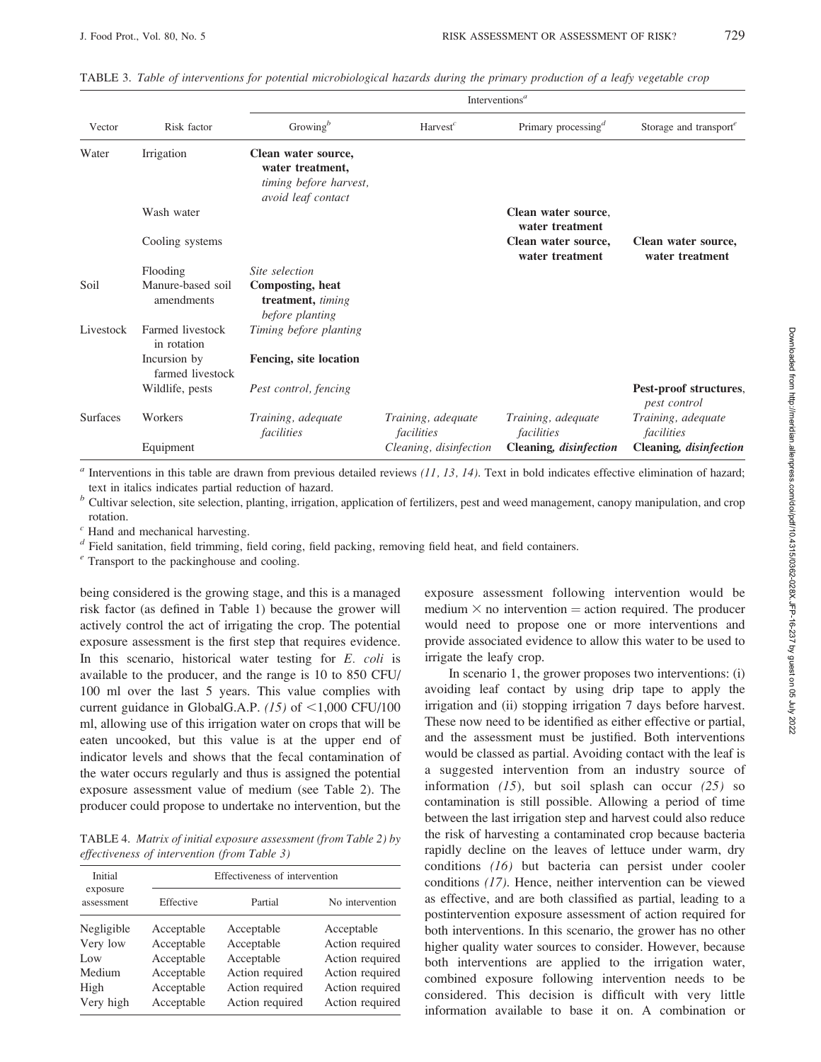|                 |                                  | Interventions <sup><i>a</i></sup>                                                       |                                  |                                              |                                        |  |  |
|-----------------|----------------------------------|-----------------------------------------------------------------------------------------|----------------------------------|----------------------------------------------|----------------------------------------|--|--|
| Vector          | Risk factor                      | Growing <sup><math>b</math></sup>                                                       | $Harvest^c$                      | Primary processing <sup><math>d</math></sup> | Storage and transport $e$              |  |  |
| Water           | Irrigation                       | Clean water source,<br>water treatment,<br>timing before harvest,<br>avoid leaf contact |                                  |                                              |                                        |  |  |
|                 | Wash water                       |                                                                                         |                                  | Clean water source,<br>water treatment       |                                        |  |  |
|                 | Cooling systems                  |                                                                                         |                                  | Clean water source,<br>water treatment       | Clean water source,<br>water treatment |  |  |
|                 | Flooding                         | Site selection                                                                          |                                  |                                              |                                        |  |  |
| Soil            | Manure-based soil<br>amendments  | Composting, heat<br>treatment, timing<br>before planting                                |                                  |                                              |                                        |  |  |
| Livestock       | Farmed livestock<br>in rotation  | Timing before planting                                                                  |                                  |                                              |                                        |  |  |
|                 | Incursion by<br>farmed livestock | Fencing, site location                                                                  |                                  |                                              |                                        |  |  |
|                 | Wildlife, pests                  | Pest control, fencing                                                                   |                                  |                                              | Pest-proof structures,<br>pest control |  |  |
| <b>Surfaces</b> | Workers                          | Training, adequate<br>facilities                                                        | Training, adequate<br>facilities | Training, adequate<br>facilities             | Training, adequate<br>facilities       |  |  |
|                 | Equipment                        |                                                                                         | Cleaning, disinfection           | Cleaning, disinfection                       | Cleaning, disinfection                 |  |  |

|  |  |  |  |  | TABLE 3. Table of interventions for potential microbiological hazards during the primary production of a leafy vegetable crop |  |  |  |  |  |  |  |  |  |
|--|--|--|--|--|-------------------------------------------------------------------------------------------------------------------------------|--|--|--|--|--|--|--|--|--|
|--|--|--|--|--|-------------------------------------------------------------------------------------------------------------------------------|--|--|--|--|--|--|--|--|--|

 $a$  Interventions in this table are drawn from previous detailed reviews (11, 13, 14). Text in bold indicates effective elimination of hazard; text in italics indicates partial reduction of hazard.

 $<sup>b</sup>$  Cultivar selection, site selection, planting, irrigation, application of fertilizers, pest and weed management, canopy manipulation, and crop</sup> rotation.

 $c$  Hand and mechanical harvesting.

 $d$  Field sanitation, field trimming, field coring, field packing, removing field heat, and field containers.

 $e$ <sup>e</sup> Transport to the packinghouse and cooling.

being considered is the growing stage, and this is a managed risk factor (as defined in Table 1) because the grower will actively control the act of irrigating the crop. The potential exposure assessment is the first step that requires evidence. In this scenario, historical water testing for E. coli is available to the producer, and the range is 10 to 850 CFU/ 100 ml over the last 5 years. This value complies with current guidance in GlobalG.A.P. (15) of  $\leq$ 1,000 CFU/100 ml, allowing use of this irrigation water on crops that will be eaten uncooked, but this value is at the upper end of indicator levels and shows that the fecal contamination of the water occurs regularly and thus is assigned the potential exposure assessment value of medium (see Table 2). The producer could propose to undertake no intervention, but the

TABLE 4. Matrix of initial exposure assessment (from Table 2) by effectiveness of intervention (from Table 3)

| Initial                                                      | Effectiveness of intervention                                                    |                                                                                                 |                                                                                                           |  |  |  |
|--------------------------------------------------------------|----------------------------------------------------------------------------------|-------------------------------------------------------------------------------------------------|-----------------------------------------------------------------------------------------------------------|--|--|--|
| exposure<br>assessment                                       | Effective<br>Partial                                                             |                                                                                                 | No intervention                                                                                           |  |  |  |
| Negligible<br>Very low<br>Low<br>Medium<br>High<br>Very high | Acceptable<br>Acceptable<br>Acceptable<br>Acceptable<br>Acceptable<br>Acceptable | Acceptable<br>Acceptable<br>Acceptable<br>Action required<br>Action required<br>Action required | Acceptable<br>Action required<br>Action required<br>Action required<br>Action required<br>Action required |  |  |  |

exposure assessment following intervention would be medium  $\times$  no intervention = action required. The producer would need to propose one or more interventions and provide associated evidence to allow this water to be used to irrigate the leafy crop.

In scenario 1, the grower proposes two interventions: (i) avoiding leaf contact by using drip tape to apply the irrigation and (ii) stopping irrigation 7 days before harvest. These now need to be identified as either effective or partial, and the assessment must be justified. Both interventions would be classed as partial. Avoiding contact with the leaf is a suggested intervention from an industry source of information  $(15)$ , but soil splash can occur  $(25)$  so contamination is still possible. Allowing a period of time between the last irrigation step and harvest could also reduce the risk of harvesting a contaminated crop because bacteria rapidly decline on the leaves of lettuce under warm, dry conditions (16) but bacteria can persist under cooler conditions (17). Hence, neither intervention can be viewed as effective, and are both classified as partial, leading to a postintervention exposure assessment of action required for both interventions. In this scenario, the grower has no other higher quality water sources to consider. However, because both interventions are applied to the irrigation water, combined exposure following intervention needs to be considered. This decision is difficult with very little information available to base it on. A combination or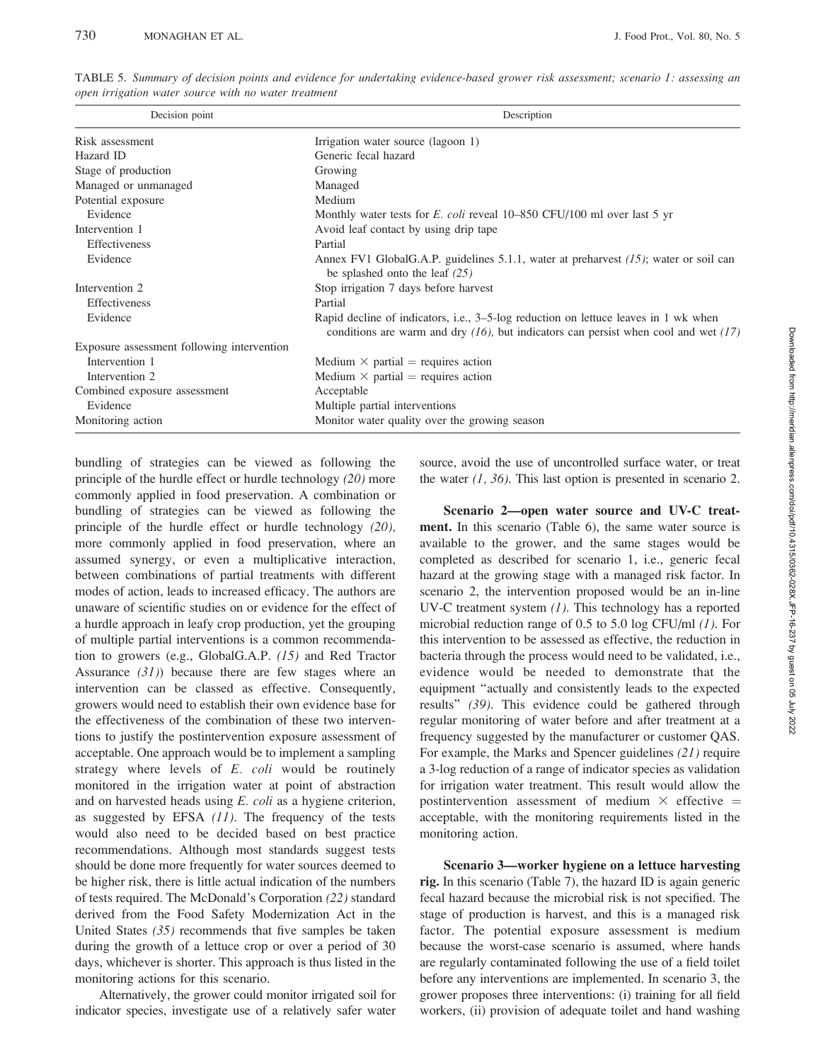| Decision point                             | Description                                                                                                                                                                     |  |  |  |
|--------------------------------------------|---------------------------------------------------------------------------------------------------------------------------------------------------------------------------------|--|--|--|
| Risk assessment                            | Irrigation water source (lagoon 1)                                                                                                                                              |  |  |  |
| Hazard ID                                  | Generic fecal hazard                                                                                                                                                            |  |  |  |
| Stage of production                        | Growing                                                                                                                                                                         |  |  |  |
| Managed or unmanaged                       | Managed                                                                                                                                                                         |  |  |  |
| Potential exposure                         | Medium                                                                                                                                                                          |  |  |  |
| Evidence                                   | Monthly water tests for E. coli reveal $10-850$ CFU/100 ml over last 5 yr                                                                                                       |  |  |  |
| Intervention 1                             | Avoid leaf contact by using drip tape                                                                                                                                           |  |  |  |
| Effectiveness                              | Partial                                                                                                                                                                         |  |  |  |
| Evidence                                   | Annex FV1 GlobalG.A.P. guidelines 5.1.1, water at preharvest $(15)$ ; water or soil can<br>be splashed onto the leaf $(25)$                                                     |  |  |  |
| Intervention 2                             | Stop irrigation 7 days before harvest                                                                                                                                           |  |  |  |
| <b>Effectiveness</b>                       | Partial                                                                                                                                                                         |  |  |  |
| Evidence                                   | Rapid decline of indicators, i.e., 3–5-log reduction on lettuce leaves in 1 wk when<br>conditions are warm and dry $(16)$ , but indicators can persist when cool and wet $(17)$ |  |  |  |
| Exposure assessment following intervention |                                                                                                                                                                                 |  |  |  |
| Intervention 1                             | Medium $\times$ partial = requires action                                                                                                                                       |  |  |  |
| Intervention 2                             | Medium $\times$ partial = requires action                                                                                                                                       |  |  |  |
| Combined exposure assessment               | Acceptable                                                                                                                                                                      |  |  |  |
| Evidence                                   | Multiple partial interventions                                                                                                                                                  |  |  |  |
| Monitoring action                          | Monitor water quality over the growing season                                                                                                                                   |  |  |  |

TABLE 5. Summary of decision points and evidence for undertaking evidence-based grower risk assessment; scenario 1: assessing an open irrigation water source with no water treatment

bundling of strategies can be viewed as following the principle of the hurdle effect or hurdle technology (20) more commonly applied in food preservation. A combination or bundling of strategies can be viewed as following the principle of the hurdle effect or hurdle technology (20), more commonly applied in food preservation, where an assumed synergy, or even a multiplicative interaction, between combinations of partial treatments with different modes of action, leads to increased efficacy. The authors are unaware of scientific studies on or evidence for the effect of a hurdle approach in leafy crop production, yet the grouping of multiple partial interventions is a common recommendation to growers (e.g., GlobalG.A.P. (15) and Red Tractor Assurance  $(31)$ ) because there are few stages where an intervention can be classed as effective. Consequently, growers would need to establish their own evidence base for the effectiveness of the combination of these two interventions to justify the postintervention exposure assessment of acceptable. One approach would be to implement a sampling strategy where levels of E. coli would be routinely monitored in the irrigation water at point of abstraction and on harvested heads using  $E.$   $\text{coli}$  as a hygiene criterion, as suggested by EFSA  $(11)$ . The frequency of the tests would also need to be decided based on best practice recommendations. Although most standards suggest tests should be done more frequently for water sources deemed to be higher risk, there is little actual indication of the numbers of tests required. The McDonald's Corporation (22) standard derived from the Food Safety Modernization Act in the United States  $(35)$  recommends that five samples be taken during the growth of a lettuce crop or over a period of 30 days, whichever is shorter. This approach is thus listed in the monitoring actions for this scenario.

Alternatively, the grower could monitor irrigated soil for indicator species, investigate use of a relatively safer water source, avoid the use of uncontrolled surface water, or treat the water  $(1, 36)$ . This last option is presented in scenario 2.

Scenario 2—open water source and UV-C treatment. In this scenario (Table 6), the same water source is available to the grower, and the same stages would be completed as described for scenario 1, i.e., generic fecal hazard at the growing stage with a managed risk factor. In scenario 2, the intervention proposed would be an in-line UV-C treatment system  $(1)$ . This technology has a reported microbial reduction range of 0.5 to 5.0 log CFU/ml (1). For this intervention to be assessed as effective, the reduction in bacteria through the process would need to be validated, i.e., evidence would be needed to demonstrate that the equipment ''actually and consistently leads to the expected results'' (39). This evidence could be gathered through regular monitoring of water before and after treatment at a frequency suggested by the manufacturer or customer QAS. For example, the Marks and Spencer guidelines (21) require a 3-log reduction of a range of indicator species as validation for irrigation water treatment. This result would allow the postintervention assessment of medium  $\times$  effective = acceptable, with the monitoring requirements listed in the monitoring action.

Scenario 3—worker hygiene on a lettuce harvesting rig. In this scenario (Table 7), the hazard ID is again generic fecal hazard because the microbial risk is not specified. The stage of production is harvest, and this is a managed risk factor. The potential exposure assessment is medium because the worst-case scenario is assumed, where hands are regularly contaminated following the use of a field toilet before any interventions are implemented. In scenario 3, the grower proposes three interventions: (i) training for all field workers, (ii) provision of adequate toilet and hand washing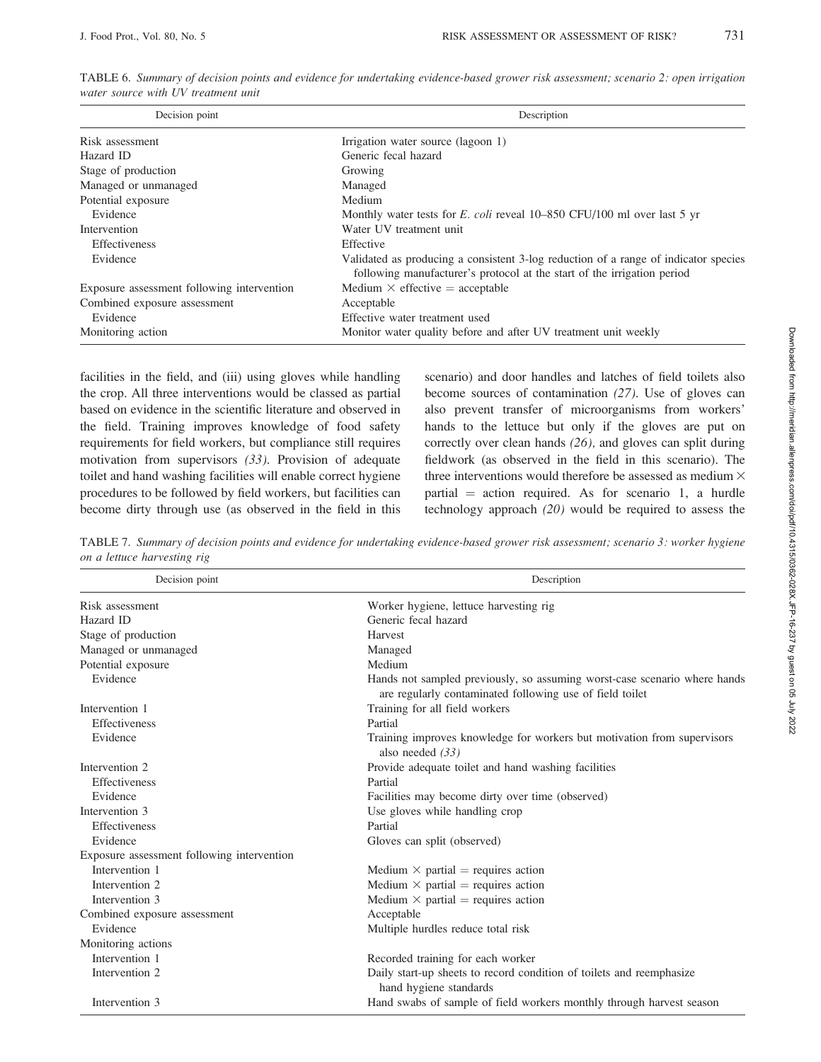| Decision point                             | Description                                                                                                                                                    |  |  |  |
|--------------------------------------------|----------------------------------------------------------------------------------------------------------------------------------------------------------------|--|--|--|
| Risk assessment                            | Irrigation water source (lagoon 1)                                                                                                                             |  |  |  |
| Hazard ID                                  | Generic fecal hazard                                                                                                                                           |  |  |  |
| Stage of production                        | Growing                                                                                                                                                        |  |  |  |
| Managed or unmanaged                       | Managed                                                                                                                                                        |  |  |  |
| Potential exposure                         | Medium                                                                                                                                                         |  |  |  |
| Evidence                                   | Monthly water tests for E. coli reveal $10-850$ CFU/100 ml over last 5 yr                                                                                      |  |  |  |
| Intervention                               | Water UV treatment unit                                                                                                                                        |  |  |  |
| <b>Effectiveness</b>                       | Effective                                                                                                                                                      |  |  |  |
| Evidence                                   | Validated as producing a consistent 3-log reduction of a range of indicator species<br>following manufacturer's protocol at the start of the irrigation period |  |  |  |
| Exposure assessment following intervention | Medium $\times$ effective = acceptable                                                                                                                         |  |  |  |
| Combined exposure assessment               | Acceptable                                                                                                                                                     |  |  |  |
| Evidence                                   | Effective water treatment used                                                                                                                                 |  |  |  |
| Monitoring action                          | Monitor water quality before and after UV treatment unit weekly                                                                                                |  |  |  |

TABLE 6. Summary of decision points and evidence for undertaking evidence-based grower risk assessment; scenario 2: open irrigation water source with UV treatment unit

facilities in the field, and (iii) using gloves while handling the crop. All three interventions would be classed as partial based on evidence in the scientific literature and observed in the field. Training improves knowledge of food safety requirements for field workers, but compliance still requires motivation from supervisors (33). Provision of adequate toilet and hand washing facilities will enable correct hygiene procedures to be followed by field workers, but facilities can become dirty through use (as observed in the field in this scenario) and door handles and latches of field toilets also become sources of contamination (27). Use of gloves can also prevent transfer of microorganisms from workers' hands to the lettuce but only if the gloves are put on correctly over clean hands (26), and gloves can split during fieldwork (as observed in the field in this scenario). The three interventions would therefore be assessed as medium  $\times$ partial  $=$  action required. As for scenario 1, a hurdle technology approach (20) would be required to assess the

TABLE 7. Summary of decision points and evidence for undertaking evidence-based grower risk assessment; scenario 3: worker hygiene on a lettuce harvesting rig

| Decision point                             | Description<br>Worker hygiene, lettuce harvesting rig                                                                                 |  |  |  |
|--------------------------------------------|---------------------------------------------------------------------------------------------------------------------------------------|--|--|--|
| Risk assessment                            |                                                                                                                                       |  |  |  |
| Hazard ID                                  | Generic fecal hazard                                                                                                                  |  |  |  |
| Stage of production                        | <b>Harvest</b>                                                                                                                        |  |  |  |
| Managed or unmanaged                       | Managed                                                                                                                               |  |  |  |
| Potential exposure                         | Medium                                                                                                                                |  |  |  |
| Evidence                                   | Hands not sampled previously, so assuming worst-case scenario where hands<br>are regularly contaminated following use of field toilet |  |  |  |
| Intervention 1                             | Training for all field workers                                                                                                        |  |  |  |
| Effectiveness                              | Partial                                                                                                                               |  |  |  |
| Evidence                                   | Training improves knowledge for workers but motivation from supervisors<br>also needed $(33)$                                         |  |  |  |
| Intervention 2                             | Provide adequate toilet and hand washing facilities                                                                                   |  |  |  |
| Effectiveness                              | Partial                                                                                                                               |  |  |  |
| Evidence                                   | Facilities may become dirty over time (observed)                                                                                      |  |  |  |
| Intervention 3                             | Use gloves while handling crop                                                                                                        |  |  |  |
| Effectiveness                              | Partial                                                                                                                               |  |  |  |
| Evidence                                   | Gloves can split (observed)                                                                                                           |  |  |  |
| Exposure assessment following intervention |                                                                                                                                       |  |  |  |
| Intervention 1                             | Medium $\times$ partial = requires action                                                                                             |  |  |  |
| Intervention 2                             | Medium $\times$ partial = requires action                                                                                             |  |  |  |
| Intervention 3                             | Medium $\times$ partial = requires action                                                                                             |  |  |  |
| Combined exposure assessment               | Acceptable                                                                                                                            |  |  |  |
| Evidence                                   | Multiple hurdles reduce total risk                                                                                                    |  |  |  |
| Monitoring actions                         |                                                                                                                                       |  |  |  |
| Intervention 1                             | Recorded training for each worker                                                                                                     |  |  |  |
| Intervention 2                             | Daily start-up sheets to record condition of toilets and reemphasize<br>hand hygiene standards                                        |  |  |  |
| Intervention 3                             | Hand swabs of sample of field workers monthly through harvest season                                                                  |  |  |  |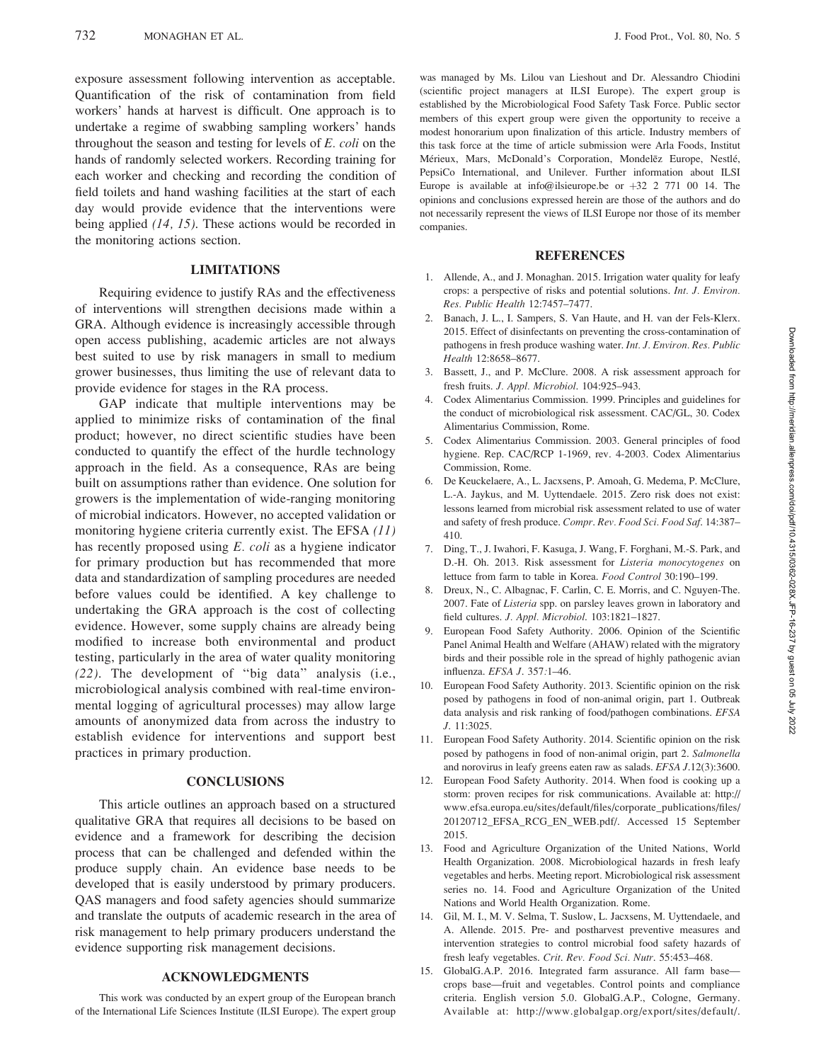exposure assessment following intervention as acceptable. Quantification of the risk of contamination from field workers' hands at harvest is difficult. One approach is to undertake a regime of swabbing sampling workers' hands throughout the season and testing for levels of  $E.$  coli on the hands of randomly selected workers. Recording training for each worker and checking and recording the condition of field toilets and hand washing facilities at the start of each day would provide evidence that the interventions were being applied (14, 15). These actions would be recorded in the monitoring actions section.

#### LIMITATIONS

Requiring evidence to justify RAs and the effectiveness of interventions will strengthen decisions made within a GRA. Although evidence is increasingly accessible through open access publishing, academic articles are not always best suited to use by risk managers in small to medium grower businesses, thus limiting the use of relevant data to provide evidence for stages in the RA process.

GAP indicate that multiple interventions may be applied to minimize risks of contamination of the final product; however, no direct scientific studies have been conducted to quantify the effect of the hurdle technology approach in the field. As a consequence, RAs are being built on assumptions rather than evidence. One solution for growers is the implementation of wide-ranging monitoring of microbial indicators. However, no accepted validation or monitoring hygiene criteria currently exist. The EFSA (11) has recently proposed using E. coli as a hygiene indicator for primary production but has recommended that more data and standardization of sampling procedures are needed before values could be identified. A key challenge to undertaking the GRA approach is the cost of collecting evidence. However, some supply chains are already being modified to increase both environmental and product testing, particularly in the area of water quality monitoring (22). The development of ''big data'' analysis (i.e., microbiological analysis combined with real-time environmental logging of agricultural processes) may allow large amounts of anonymized data from across the industry to establish evidence for interventions and support best practices in primary production.

#### **CONCLUSIONS**

This article outlines an approach based on a structured qualitative GRA that requires all decisions to be based on evidence and a framework for describing the decision process that can be challenged and defended within the produce supply chain. An evidence base needs to be developed that is easily understood by primary producers. QAS managers and food safety agencies should summarize and translate the outputs of academic research in the area of risk management to help primary producers understand the evidence supporting risk management decisions.

# ACKNOWLEDGMENTS

This work was conducted by an expert group of the European branch of the International Life Sciences Institute (ILSI Europe). The expert group was managed by Ms. Lilou van Lieshout and Dr. Alessandro Chiodini (scientific project managers at ILSI Europe). The expert group is established by the Microbiological Food Safety Task Force. Public sector members of this expert group were given the opportunity to receive a modest honorarium upon finalization of this article. Industry members of this task force at the time of article submission were Arla Foods, Institut Mérieux, Mars, McDonald's Corporation, Mondelēz Europe, Nestlé, PepsiCo International, and Unilever. Further information about ILSI Europe is available at info@ilsieurope.be or  $+32$  2 771 00 14. The opinions and conclusions expressed herein are those of the authors and do not necessarily represent the views of ILSI Europe nor those of its member companies.

#### REFERENCES

- 1. Allende, A., and J. Monaghan. 2015. Irrigation water quality for leafy crops: a perspective of risks and potential solutions. Int. J. Environ. Res. Public Health 12:7457–7477.
- 2. Banach, J. L., I. Sampers, S. Van Haute, and H. van der Fels-Klerx. 2015. Effect of disinfectants on preventing the cross-contamination of pathogens in fresh produce washing water. Int. J. Environ. Res. Public Health 12:8658–8677.
- 3. Bassett, J., and P. McClure. 2008. A risk assessment approach for fresh fruits. J. Appl. Microbiol. 104:925–943.
- 4. Codex Alimentarius Commission. 1999. Principles and guidelines for the conduct of microbiological risk assessment. CAC/GL, 30. Codex Alimentarius Commission, Rome.
- 5. Codex Alimentarius Commission. 2003. General principles of food hygiene. Rep. CAC/RCP 1-1969, rev. 4-2003. Codex Alimentarius Commission, Rome.
- 6. De Keuckelaere, A., L. Jacxsens, P. Amoah, G. Medema, P. McClure, L.-A. Jaykus, and M. Uyttendaele. 2015. Zero risk does not exist: lessons learned from microbial risk assessment related to use of water and safety of fresh produce. Compr. Rev. Food Sci. Food Saf. 14:387– 410.
- 7. Ding, T., J. Iwahori, F. Kasuga, J. Wang, F. Forghani, M.-S. Park, and D.-H. Oh. 2013. Risk assessment for Listeria monocytogenes on lettuce from farm to table in Korea. Food Control 30:190–199.
- 8. Dreux, N., C. Albagnac, F. Carlin, C. E. Morris, and C. Nguyen-The. 2007. Fate of Listeria spp. on parsley leaves grown in laboratory and field cultures. J. Appl. Microbiol. 103:1821–1827.
- 9. European Food Safety Authority. 2006. Opinion of the Scientific Panel Animal Health and Welfare (AHAW) related with the migratory birds and their possible role in the spread of highly pathogenic avian influenza. EFSA J. 357:1–46.
- 10. European Food Safety Authority. 2013. Scientific opinion on the risk posed by pathogens in food of non-animal origin, part 1. Outbreak data analysis and risk ranking of food/pathogen combinations. EFSA J. 11:3025.
- 11. European Food Safety Authority. 2014. Scientific opinion on the risk posed by pathogens in food of non-animal origin, part 2. Salmonella and norovirus in leafy greens eaten raw as salads. EFSA J.12(3):3600.
- 12. European Food Safety Authority. 2014. When food is cooking up a storm: proven recipes for risk communications. Available at: http:// www.efsa.europa.eu/sites/default/files/corporate\_publications/files/ 20120712\_EFSA\_RCG\_EN\_WEB.pdf/. Accessed 15 September 2015.
- 13. Food and Agriculture Organization of the United Nations, World Health Organization. 2008. Microbiological hazards in fresh leafy vegetables and herbs. Meeting report. Microbiological risk assessment series no. 14. Food and Agriculture Organization of the United Nations and World Health Organization. Rome.
- 14. Gil, M. I., M. V. Selma, T. Suslow, L. Jacxsens, M. Uyttendaele, and A. Allende. 2015. Pre- and postharvest preventive measures and intervention strategies to control microbial food safety hazards of fresh leafy vegetables. Crit. Rev. Food Sci. Nutr. 55:453–468.
- 15. GlobalG.A.P. 2016. Integrated farm assurance. All farm base crops base—fruit and vegetables. Control points and compliance criteria. English version 5.0. GlobalG.A.P., Cologne, Germany. Available at: http://www.globalgap.org/export/sites/default/.